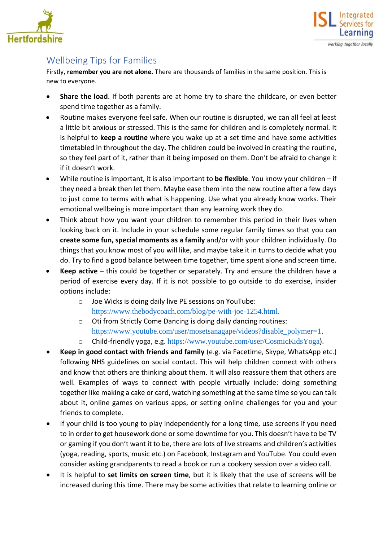



## Wellbeing Tips for Families

Firstly, **remember you are not alone.** There are thousands of families in the same position. This is new to everyone.

- **Share the load**. If both parents are at home try to share the childcare, or even better spend time together as a family.
- Routine makes everyone feel safe. When our routine is disrupted, we can all feel at least a little bit anxious or stressed. This is the same for children and is completely normal. It is helpful to **keep a routine** where you wake up at a set time and have some activities timetabled in throughout the day. The children could be involved in creating the routine, so they feel part of it, rather than it being imposed on them. Don't be afraid to change it if it doesn't work.
- While routine is important, it is also important to **be flexible**. You know your children if they need a break then let them. Maybe ease them into the new routine after a few days to just come to terms with what is happening. Use what you already know works. Their emotional wellbeing is more important than any learning work they do.
- Think about how you want your children to remember this period in their lives when looking back on it. Include in your schedule some regular family times so that you can **create some fun, special moments as a family** and/or with your children individually. Do things that you know most of you will like, and maybe take it in turns to decide what you do. Try to find a good balance between time together, time spent alone and screen time.
- **Keep active** this could be together or separately. Try and ensure the children have a period of exercise every day. If it is not possible to go outside to do exercise, insider options include:
	- o Joe Wicks is doing daily live PE sessions on YouTube: [https://www.thebodycoach.com/blog/pe-with-joe-1254.html.](https://www.thebodycoach.com/blog/pe-with-joe-1254.html)
	- o Oti from Strictly Come Dancing is doing daily dancing routines: [https://www.youtube.com/user/mosetsanagape/videos?disable\\_polymer=1](https://www.youtube.com/user/mosetsanagape/videos?disable_polymer=1).
	- o Child-friendly yoga, e.g. <https://www.youtube.com/user/CosmicKidsYoga>).
- **Keep in good contact with friends and family** (e.g. via Facetime, Skype, WhatsApp etc.) following NHS guidelines on social contact. This will help children connect with others and know that others are thinking about them. It will also reassure them that others are well. Examples of ways to connect with people virtually include: doing something together like making a cake or card, watching something at the same time so you can talk about it, online games on various apps, or setting online challenges for you and your friends to complete.
- If your child is too young to play independently for a long time, use screens if you need to in order to get housework done or some downtime for you. This doesn't have to be TV or gaming if you don't want it to be, there are lots of live streams and children's activities (yoga, reading, sports, music etc.) on Facebook, Instagram and YouTube. You could even consider asking grandparents to read a book or run a cookery session over a video call.
- It is helpful to **set limits on screen time**, but it is likely that the use of screens will be increased during this time. There may be some activities that relate to learning online or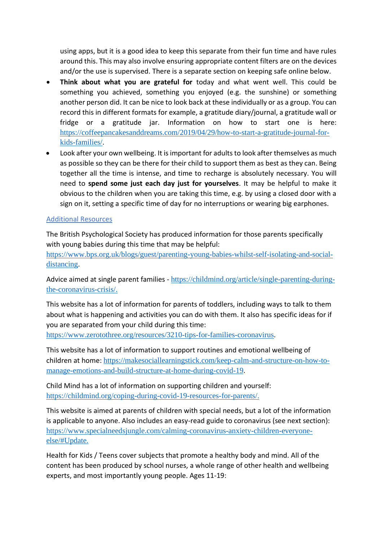using apps, but it is a good idea to keep this separate from their fun time and have rules around this. This may also involve ensuring appropriate content filters are on the devices and/or the use is supervised. There is a separate section on keeping safe online below.

- **Think about what you are grateful for** today and what went well. This could be something you achieved, something you enjoyed (e.g. the sunshine) or something another person did. It can be nice to look back at these individually or as a group. You can record this in different formats for example, a gratitude diary/journal, a gratitude wall or fridge or a gratitude jar. Information on how to start one is here: [https://coffeepancakesanddreams.com/2019/04/29/how-to-start-a-gratitude-journal-for](https://coffeepancakesanddreams.com/2019/04/29/how-to-start-a-gratitude-journal-for-kids-families/)[kids-families/](https://coffeepancakesanddreams.com/2019/04/29/how-to-start-a-gratitude-journal-for-kids-families/).
- Look after your own wellbeing. It is important for adults to look after themselves as much as possible so they can be there for their child to support them as best as they can. Being together all the time is intense, and time to recharge is absolutely necessary. You will need to **spend some just each day just for yourselves**. It may be helpful to make it obvious to the children when you are taking this time, e.g. by using a closed door with a sign on it, setting a specific time of day for no interruptions or wearing big earphones.

## Additional Resources

The British Psychological Society has produced information for those parents specifically with young babies during this time that may be helpful:

[https://www.bps.org.uk/blogs/guest/parenting-young-babies-whilst-self-isolating-and-social](https://www.bps.org.uk/blogs/guest/parenting-young-babies-whilst-self-isolating-and-social-distancing)[distancing](https://www.bps.org.uk/blogs/guest/parenting-young-babies-whilst-self-isolating-and-social-distancing).

Advice aimed at single parent families - [https://childmind.org/article/single-parenting-during](https://childmind.org/article/single-parenting-during-the-coronavirus-crisis/)[the-coronavirus-crisis/.](https://childmind.org/article/single-parenting-during-the-coronavirus-crisis/)

This website has a lot of information for parents of toddlers, including ways to talk to them about what is happening and activities you can do with them. It also has specific ideas for if you are separated from your child during this time:

<https://www.zerotothree.org/resources/3210-tips-for-families-coronavirus>.

This website has a lot of information to support routines and emotional wellbeing of children at home: [https://makesociallearningstick.com/keep-calm-and-structure-on-how-to](https://makesociallearningstick.com/keep-calm-and-structure-on-how-to-manage-emotions-and-build-structure-at-home-during-covid-19)[manage-emotions-and-build-structure-at-home-during-covid-19](https://makesociallearningstick.com/keep-calm-and-structure-on-how-to-manage-emotions-and-build-structure-at-home-during-covid-19).

Child Mind has a lot of information on supporting children and yourself: [https://childmind.org/coping-during-covid-19-resources-for-parents/.](https://childmind.org/coping-during-covid-19-resources-for-parents/)

This website is aimed at parents of children with special needs, but a lot of the information is applicable to anyone. Also includes an easy-read guide to coronavirus (see next section): [https://www.specialneedsjungle.com/calming-coronavirus-anxiety-children-everyone](https://www.specialneedsjungle.com/calming-coronavirus-anxiety-children-everyone-else/#Update)[else/#Update.](https://www.specialneedsjungle.com/calming-coronavirus-anxiety-children-everyone-else/#Update)

Health for Kids / Teens cover subjects that promote a healthy body and mind. All of the content has been produced by school nurses, a whole range of other health and wellbeing experts, and most importantly young people. Ages 11-19: